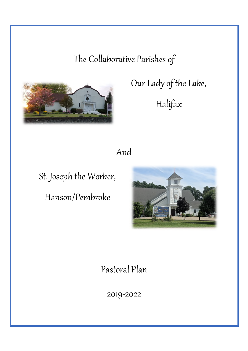The Collaborative Parishes of



Our Lady of the Lake,

Halifax

And

St. Joseph the Worker,

Hanson/Pembroke



Pastoral Plan

2019-2022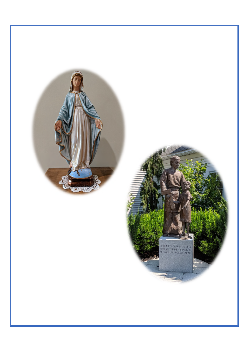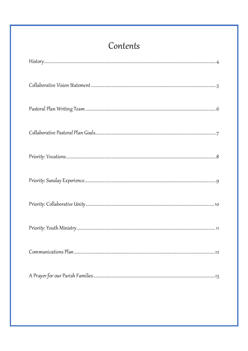# Contents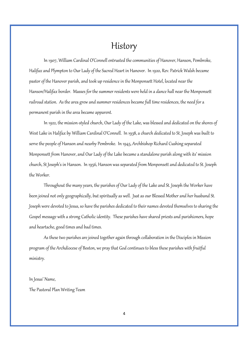## **History**

In 1907, William Cardinal O'Connell entrusted the communities of Hanover, Hanson, Pembroke, Halifax and Plympton to Our Lady of the Sacred Heart in Hanover. In 1920, Rev. Patrick Walsh became pastor of the Hanover parish, and took up residence in the Monponsett Hotel, located near the Hanson/Halifax border. Masses for the summer residents were held in a dance hall near the Monponsett railroad station. As the area grew and summer residences became full time residences, the need for a permanent parish in the area became apparent.

In 1922, the mission-styled church, Our Lady of the Lake, was blessed and dedicated on the shores of West Lake in Halifax by William Cardinal O'Connell. In 1938, a church dedicated to St. Joseph was built to serve the people of Hanson and nearby Pembroke. In 1945, Archbishop Richard Cushing separated Monponsett from Hanover, and Our Lady of the Lake became a standalone parish along with its' mission church, St Joseph's in Hanson. In 1956, Hanson was separated from Monponsett and dedicated to St. Joseph the Worker.

Throughout the many years, the parishes of Our Lady of the Lake and St. Joseph the Worker have been joined not only geographically, but spiritually as well. Just as our Blessed Mother and her husband St. Joseph were devoted to Jesus, so have the parishes dedicated to their names devoted themselves to sharing the Gospel message with a strong Catholic identity. These parishes have shared priests and parishioners, hope and heartache, good times and bad times.

As these two parishes are joined together again through collaboration in the Disciples in Mission program of the Archdiocese of Boston, we pray that God continues to bless these parishes with fruitful ministry.

In Jesus' Name,

The Pastoral Plan Writing Team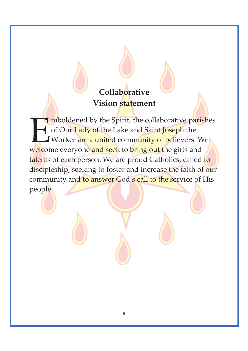## **Collaborative Vision statement**

**T** mboldened by the Spirit, the collaborative parishes of Our Lady of the Lake and Saint Joseph the Worker are a united community of believers. We welcome everyone and seek to bring out the gifts and talents of each person. We are proud Catholics, called to discipleship, seeking to foster and increase the faith of our community and to answer God's call to the service of His people.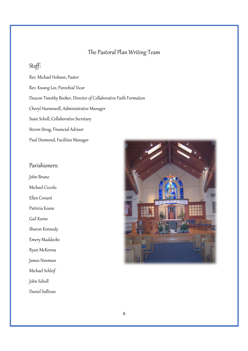### The Pastoral Plan Writing Team

## Staff:

Rev. Michael Hobson, Pastor Rev. Kwang Lee, Parochial Vicar Deacon Timothy Booker, Director of Collaborative Faith Formation Cheryl Hunnewell, Administrative Manager Susie Scholl, Collaborative Secretary Steven Strug, Financial Advisor Paul Desmond, Facilities Manager

John Bruno Michael Ciccolo Ellen Conant Patricia Keane Gail Keene Sharon Kennedy

Parishioners:

Emery Maddocks

Ryan McKenna

James Newman

Michael Schleif

John Scholl

Daniel Sullivan

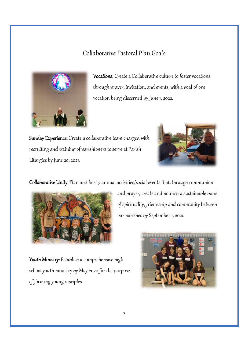## Collaborative Pastoral Plan Goals



Vocations: Create a Collaborative culture to foster vocations through prayer, invitation, and events, with a goal of one vocation being discerned by June 1, 2022.

Sunday Experience: Create a collaborative team charged with recruiting and training of parishioners to serve at Parish Liturgies by June 20, 2021.



Collaborative Unity: Plan and host 3 annual activities/social events that, through communion



and prayer, create and nourish a sustainable bond of spirituality, friendship and community between our parishes by September 1, 2021.

Youth Ministry: Establish a comprehensive high school youth ministry by May 2020 for the purpose of forming young disciples.

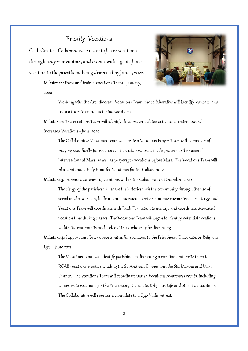#### Priority: Vocations

Goal: Create a Collaborative culture to foster vocations through prayer, invitation, and events, with a goal of one vocation to the priesthood being discerned by June 1, 2022.

> Milestone 1: Form and train a Vocations Team - January, 2020



Working with the Archdiocesan Vocations Team, the collaborative will identify, educate, and train a team to recruit potential vocations.

Milestone 2: The Vocations Team will identify three prayer-related activities directed toward increased Vocations - June, 2020

The Collaborative Vocations Team will create a Vocations Prayer Team with a mission of praying specifically for vocations. The Collaborative will add prayers to the General Intercessions at Mass, as well as prayers for vocations before Mass. The Vocations Team will plan and lead a Holy Hour for Vocations for the Collaborative.

Milestone 3: Increase awareness of vocations within the Collaborative. December, 2020 The clergy of the parishes will share their stories with the community through the use of social media, websites, bulletin announcements and one-on-one encounters. The clergy and Vocations Team will coordinate with Faith Formation to identify and coordinate dedicated vocation time during classes. The Vocations Team will begin to identify potential vocations within the community and seek out those who may be discerning.

Milestone 4: Support and foster opportunities for vocations to the Priesthood, Diaconate, or Religious Life – June 2021

The Vocations Team will identify parishioners discerning a vocation and invite them to RCAB vocations events, including the St. Andrews Dinner and the Sts. Martha and Mary Dinner. The Vocations Team will coordinate parish Vocations Awareness events, including witnesses to vocations for the Priesthood, Diaconate, Religious Life and other Lay vocations. The Collaborative will sponsor a candidate to a Quo Vadis retreat.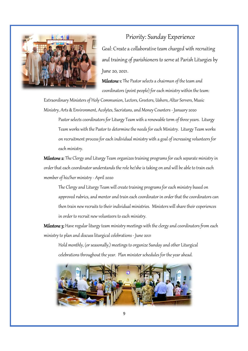

## Priority: Sunday Experience

Goal: Create a collaborative team charged with recruiting and training of parishioners to serve at Parish Liturgies by June 20, 2021.

Milestone 1: The Pastor selects a chairman of the team and coordinators (point people) for each ministry within the team:

Extraordinary Ministers of Holy Communion, Lectors, Greeters, Ushers, Altar Servers, Music Ministry, Arts & Environment, Acolytes, Sacristans, and Money Counters - January 2020

Pastor selects coordinators for Liturgy Team with a renewable term of three years. Liturgy Team works with the Pastor to determine the needs for each Ministry. Liturgy Team works on recruitment process for each individual ministry with a goal of increasing volunteers for each ministry.

Milestone 2: The Clergy and Liturgy Team organizes training programs for each separate ministry in order that each coordinator understands the role he/she is taking on and will be able to train each member of his/her ministry - April 2020

The Clergy and Liturgy Team will create training programs for each ministry based on approved rubrics, and mentor and train each coordinator in order that the coordinators can then train new recruits to their individual ministries. Ministers will share their experiences in order to recruit new volunteers to each ministry.

Milestone 3: Have regular liturgy team ministry meetings with the clergy and coordinators from each ministry to plan and discuss liturgical celebrations - June 2021

Hold monthly, (or seasonally,) meetings to organize Sunday and other Liturgical celebrations throughout the year. Plan minister schedules for the year ahead.

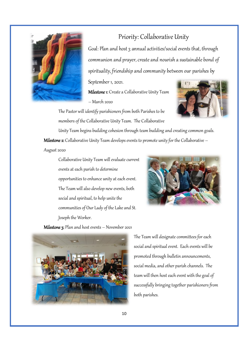

## Priority: Collaborative Unity

Goal: Plan and host 3 annual activities/social events that, through communion and prayer, create and nourish a sustainable bond of spirituality, friendship and community between our parishes by

September 1, 2021.

Milestone 1: Create a Collaborative Unity Team – March 2020

The Pastor will identify parishioners from both Parishes to be members of the Collaborative Unity Team. The Collaborative



Unity Team begins building cohesion through team building and creating common goals. **Milestone 2:** Collaborative Unity Team develops events to promote unity for the Collaborative  $-$ 

August 2020

Collaborative Unity Team will evaluate current events at each parish to determine opportunities to enhance unity at each event. The Team will also develop new events, both social and spiritual, to help unite the communities of Our Lady of the Lake and St. Joseph the Worker.



Milestone 3: Plan and host events - November 2021



The Team will designate committees for each social and spiritual event. Each events will be promoted through bulletin announcements, social media, and other parish channels. The team will then host each event with the goal of successfully bringing together parishioners from both parishes.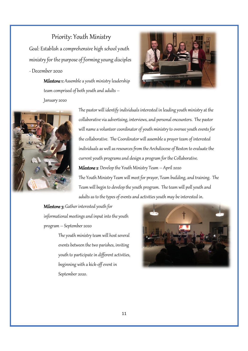## Priority: Youth Ministry

Goal: Establish a comprehensive high school youth ministry for the purpose of forming young disciples - December 2020

> Milestone 1: Assemble a youth ministry leadership team comprised of both youth and adults –

January 2020





The pastor will identify individuals interested in leading youth ministry at the collaborative via advertising, interviews, and personal encounters. The pastor will name a volunteer coordinator of youth ministry to oversee youth events for the collaborative. The Coordinator will assemble a prayer team of interested individuals as well as resources from the Archdiocese of Boston to evaluate the current youth programs and design a program for the Collaborative. Milestone 2: Develop the Youth Ministry Team – April 2020 The Youth Ministry Team will meet for prayer, Team building, and training. The Team will begin to develop the youth program. The team will poll youth and adults as to the types of events and activities youth may be interested in.

Milestone 3: Gather interested youth for informational meetings and input into the youth program – September 2020

> The youth ministry team will host several events between the two parishes, inviting youth to participate in different activities, beginning with a kick-off event in September 2020.

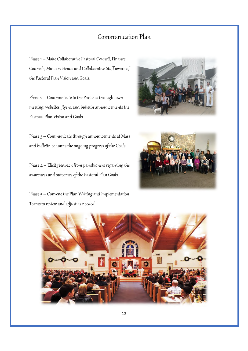## Communication Plan

Phase 1 – Make Collaborative Pastoral Council, Finance Councils, Ministry Heads and Collaborative Staff aware of the Pastoral Plan Vision and Goals.

Phase 2 – Communicate to the Parishes through town meeting, websites, flyers, and bulletin announcements the Pastoral Plan Vision and Goals.

Phase 3 – Communicate through announcements at Mass and bulletin columns the ongoing progress of the Goals.

Phase 4 – Elicit feedback from parishioners regarding the awareness and outcomes of the Pastoral Plan Goals.

Phase 5 – Convene the Plan Writing and Implementation Teams to review and adjust as needed.